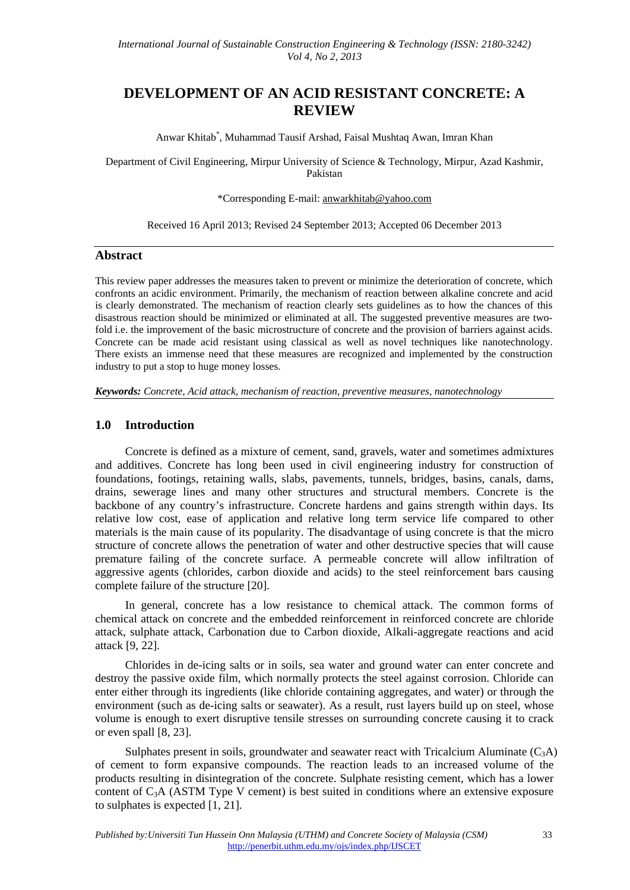# **DEVELOPMENT OF AN ACID RESISTANT CONCRETE: A REVIEW**

Anwar Khitab\* , Muhammad Tausif Arshad, Faisal Mushtaq Awan, Imran Khan

Department of Civil Engineering, Mirpur University of Science & Technology, Mirpur, Azad Kashmir, Pakistan

#### \*Corresponding E-mail: anwarkhitab@yahoo.com

Received 16 April 2013; Revised 24 September 2013; Accepted 06 December 2013

#### **Abstract**

This review paper addresses the measures taken to prevent or minimize the deterioration of concrete, which confronts an acidic environment. Primarily, the mechanism of reaction between alkaline concrete and acid is clearly demonstrated. The mechanism of reaction clearly sets guidelines as to how the chances of this disastrous reaction should be minimized or eliminated at all. The suggested preventive measures are twofold i.e. the improvement of the basic microstructure of concrete and the provision of barriers against acids. Concrete can be made acid resistant using classical as well as novel techniques like nanotechnology. There exists an immense need that these measures are recognized and implemented by the construction industry to put a stop to huge money losses.

*Keywords: Concrete, Acid attack, mechanism of reaction, preventive measures, nanotechnology* 

#### **1.0 Introduction**

Concrete is defined as a mixture of cement, sand, gravels, water and sometimes admixtures and additives. Concrete has long been used in civil engineering industry for construction of foundations, footings, retaining walls, slabs, pavements, tunnels, bridges, basins, canals, dams, drains, sewerage lines and many other structures and structural members. Concrete is the backbone of any country's infrastructure. Concrete hardens and gains strength within days. Its relative low cost, ease of application and relative long term service life compared to other materials is the main cause of its popularity. The disadvantage of using concrete is that the micro structure of concrete allows the penetration of water and other destructive species that will cause premature failing of the concrete surface. A permeable concrete will allow infiltration of aggressive agents (chlorides, carbon dioxide and acids) to the steel reinforcement bars causing complete failure of the structure [20].

In general, concrete has a low resistance to chemical attack. The common forms of chemical attack on concrete and the embedded reinforcement in reinforced concrete are chloride attack, sulphate attack, Carbonation due to Carbon dioxide, Alkali-aggregate reactions and acid attack [9, 22].

Chlorides in de-icing salts or in soils, sea water and ground water can enter concrete and destroy the passive oxide film, which normally protects the steel against corrosion. Chloride can enter either through its ingredients (like chloride containing aggregates, and water) or through the environment (such as de-icing salts or seawater). As a result, rust layers build up on steel, whose volume is enough to exert disruptive tensile stresses on surrounding concrete causing it to crack or even spall [8, 23].

Sulphates present in soils, groundwater and seawater react with Tricalcium Aluminate  $(C_3A)$ of cement to form expansive compounds. The reaction leads to an increased volume of the products resulting in disintegration of the concrete. Sulphate resisting cement, which has a lower content of C3A (ASTM Type V cement) is best suited in conditions where an extensive exposure to sulphates is expected [1, 21].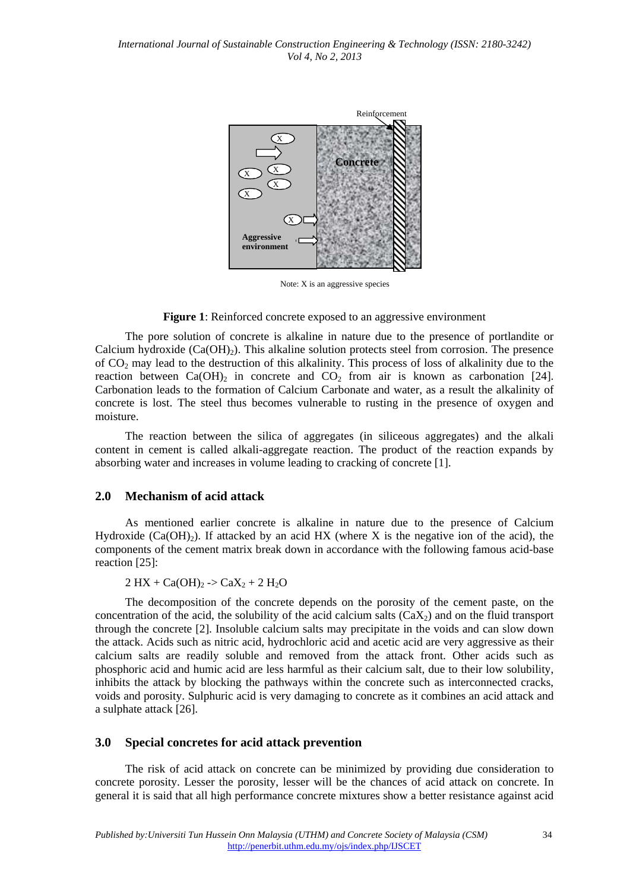

Note: X is an aggressive species

#### **Figure 1**: Reinforced concrete exposed to an aggressive environment

The pore solution of concrete is alkaline in nature due to the presence of portlandite or Calcium hydroxide  $(Ca(OH<sub>2</sub>)$ . This alkaline solution protects steel from corrosion. The presence of CO2 may lead to the destruction of this alkalinity. This process of loss of alkalinity due to the reaction between  $Ca(OH)_{2}$  in concrete and  $CO_{2}$  from air is known as carbonation [24]. Carbonation leads to the formation of Calcium Carbonate and water, as a result the alkalinity of concrete is lost. The steel thus becomes vulnerable to rusting in the presence of oxygen and moisture.

The reaction between the silica of aggregates (in siliceous aggregates) and the alkali content in cement is called alkali-aggregate reaction. The product of the reaction expands by absorbing water and increases in volume leading to cracking of concrete [1].

#### **2.0 Mechanism of acid attack**

As mentioned earlier concrete is alkaline in nature due to the presence of Calcium Hydroxide (Ca(OH)<sub>2</sub>). If attacked by an acid HX (where X is the negative ion of the acid), the components of the cement matrix break down in accordance with the following famous acid-base reaction [25]:

 $2 HX + Ca(OH)<sub>2</sub>$  ->  $CaX<sub>2</sub> + 2 H<sub>2</sub>O$ 

The decomposition of the concrete depends on the porosity of the cement paste, on the concentration of the acid, the solubility of the acid calcium salts  $(CaX<sub>2</sub>)$  and on the fluid transport through the concrete [2]. Insoluble calcium salts may precipitate in the voids and can slow down the attack. Acids such as nitric acid, hydrochloric acid and acetic acid are very aggressive as their calcium salts are readily soluble and removed from the attack front. Other acids such as phosphoric acid and humic acid are less harmful as their calcium salt, due to their low solubility, inhibits the attack by blocking the pathways within the concrete such as interconnected cracks, voids and porosity. Sulphuric acid is very damaging to concrete as it combines an acid attack and a sulphate attack [26].

#### **3.0 Special concretes for acid attack prevention**

The risk of acid attack on concrete can be minimized by providing due consideration to concrete porosity. Lesser the porosity, lesser will be the chances of acid attack on concrete. In general it is said that all high performance concrete mixtures show a better resistance against acid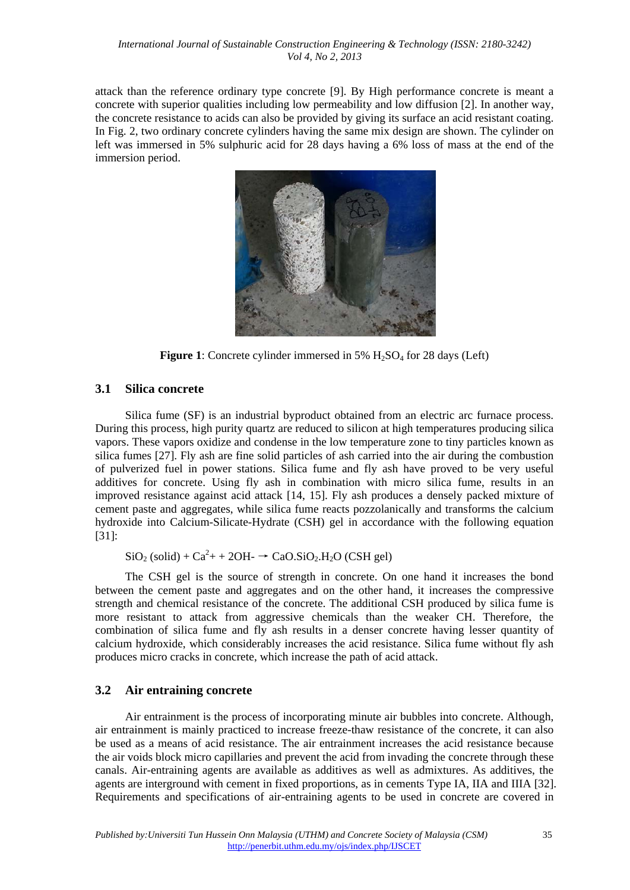attack than the reference ordinary type concrete [9]. By High performance concrete is meant a concrete with superior qualities including low permeability and low diffusion [2]. In another way, the concrete resistance to acids can also be provided by giving its surface an acid resistant coating. In Fig. 2, two ordinary concrete cylinders having the same mix design are shown. The cylinder on left was immersed in 5% sulphuric acid for 28 days having a 6% loss of mass at the end of the immersion period.



**Figure 1**: Concrete cylinder immersed in 5% H<sub>2</sub>SO<sub>4</sub> for 28 days (Left)

### **3.1 Silica concrete**

Silica fume (SF) is an industrial byproduct obtained from an electric arc furnace process. During this process, high purity quartz are reduced to silicon at high temperatures producing silica vapors. These vapors oxidize and condense in the low temperature zone to tiny particles known as silica fumes [27]. Fly ash are fine solid particles of ash carried into the air during the combustion of pulverized fuel in power stations. Silica fume and fly ash have proved to be very useful additives for concrete. Using fly ash in combination with micro silica fume, results in an improved resistance against acid attack [14, 15]. Fly ash produces a densely packed mixture of cement paste and aggregates, while silica fume reacts pozzolanically and transforms the calcium hydroxide into Calcium-Silicate-Hydrate (CSH) gel in accordance with the following equation [31]:

 $SiO<sub>2</sub> (solid) + Ca<sup>2</sup> + 2OH - \rightarrow CaO.SiO<sub>2</sub>.H<sub>2</sub>O (CSH gel)$ 

The CSH gel is the source of strength in concrete. On one hand it increases the bond between the cement paste and aggregates and on the other hand, it increases the compressive strength and chemical resistance of the concrete. The additional CSH produced by silica fume is more resistant to attack from aggressive chemicals than the weaker CH. Therefore, the combination of silica fume and fly ash results in a denser concrete having lesser quantity of calcium hydroxide, which considerably increases the acid resistance. Silica fume without fly ash produces micro cracks in concrete, which increase the path of acid attack.

## **3.2 Air entraining concrete**

Air entrainment is the process of incorporating minute air bubbles into concrete. Although, air entrainment is mainly practiced to increase freeze-thaw resistance of the concrete, it can also be used as a means of acid resistance. The air entrainment increases the acid resistance because the air voids block micro capillaries and prevent the acid from invading the concrete through these canals. Air-entraining agents are available as additives as well as admixtures. As additives, the agents are interground with cement in fixed proportions, as in cements Type IA, IIA and IIIA [32]. Requirements and specifications of air-entraining agents to be used in concrete are covered in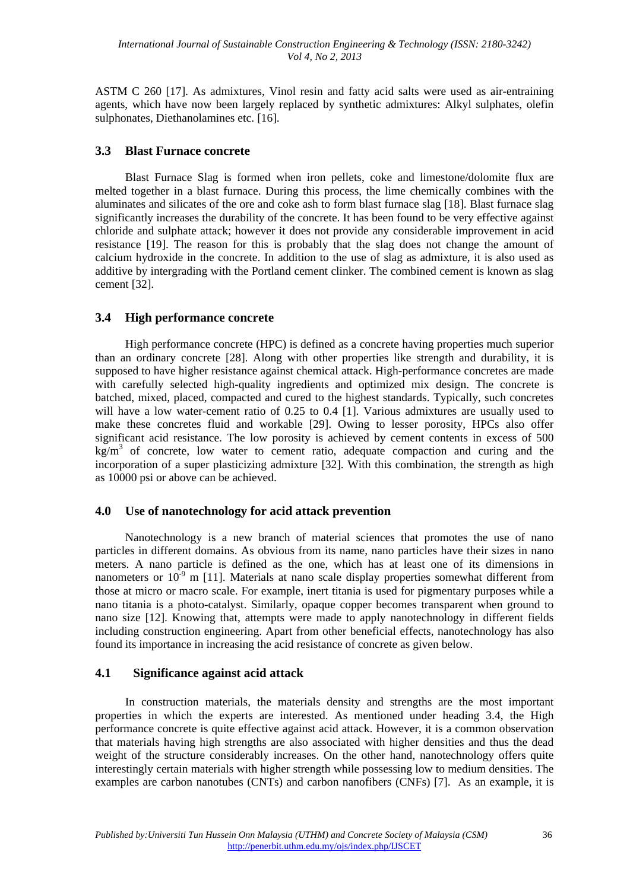ASTM C 260 [17]. As admixtures, Vinol resin and fatty acid salts were used as air-entraining agents, which have now been largely replaced by synthetic admixtures: Alkyl sulphates, olefin sulphonates, Diethanolamines etc. [16].

### **3.3 Blast Furnace concrete**

Blast Furnace Slag is formed when iron pellets, coke and limestone/dolomite flux are melted together in a blast furnace. During this process, the lime chemically combines with the aluminates and silicates of the ore and coke ash to form blast furnace slag [18]. Blast furnace slag significantly increases the durability of the concrete. It has been found to be very effective against chloride and sulphate attack; however it does not provide any considerable improvement in acid resistance [19]. The reason for this is probably that the slag does not change the amount of calcium hydroxide in the concrete. In addition to the use of slag as admixture, it is also used as additive by intergrading with the Portland cement clinker. The combined cement is known as slag cement [32].

### **3.4 High performance concrete**

High performance concrete (HPC) is defined as a concrete having properties much superior than an ordinary concrete [28]. Along with other properties like strength and durability, it is supposed to have higher resistance against chemical attack. High-performance concretes are made with carefully selected high-quality ingredients and optimized mix design. The concrete is batched, mixed, placed, compacted and cured to the highest standards. Typically, such concretes will have a low water-cement ratio of 0.25 to 0.4 [1]. Various admixtures are usually used to make these concretes fluid and workable [29]. Owing to lesser porosity, HPCs also offer significant acid resistance. The low porosity is achieved by cement contents in excess of 500  $\text{kg/m}^3$  of concrete, low water to cement ratio, adequate compaction and curing and the incorporation of a super plasticizing admixture [32]. With this combination, the strength as high as 10000 psi or above can be achieved.

### **4.0 Use of nanotechnology for acid attack prevention**

Nanotechnology is a new branch of material sciences that promotes the use of nano particles in different domains. As obvious from its name, nano particles have their sizes in nano meters. A nano particle is defined as the one, which has at least one of its dimensions in nanometers or  $10^{-9}$  m [11]. Materials at nano scale display properties somewhat different from those at micro or macro scale. For example, inert titania is used for pigmentary purposes while a nano titania is a photo-catalyst. Similarly, opaque copper becomes transparent when ground to nano size [12]. Knowing that, attempts were made to apply nanotechnology in different fields including construction engineering. Apart from other beneficial effects, nanotechnology has also found its importance in increasing the acid resistance of concrete as given below.

### **4.1 Significance against acid attack**

In construction materials, the materials density and strengths are the most important properties in which the experts are interested. As mentioned under heading 3.4, the High performance concrete is quite effective against acid attack. However, it is a common observation that materials having high strengths are also associated with higher densities and thus the dead weight of the structure considerably increases. On the other hand, nanotechnology offers quite interestingly certain materials with higher strength while possessing low to medium densities. The examples are carbon nanotubes (CNTs) and carbon nanofibers (CNFs) [7]. As an example, it is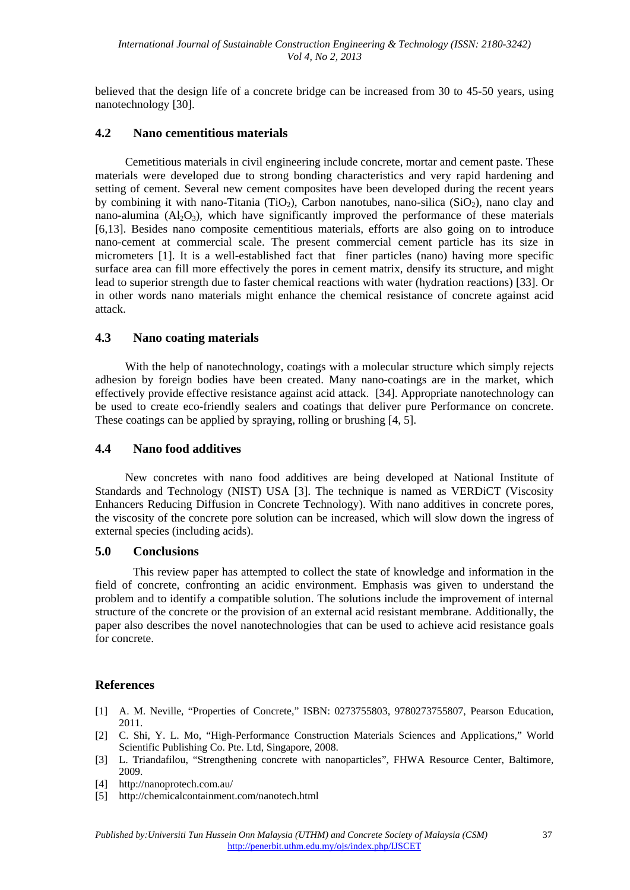believed that the design life of a concrete bridge can be increased from 30 to 45-50 years, using nanotechnology [30].

#### **4.2 Nano cementitious materials**

Cemetitious materials in civil engineering include concrete, mortar and cement paste. These materials were developed due to strong bonding characteristics and very rapid hardening and setting of cement. Several new cement composites have been developed during the recent years by combining it with nano-Titania (TiO<sub>2</sub>), Carbon nanotubes, nano-silica (SiO<sub>2</sub>), nano clay and nano-alumina  $(AI_2O_3)$ , which have significantly improved the performance of these materials [6,13]. Besides nano composite cementitious materials, efforts are also going on to introduce nano-cement at commercial scale. The present commercial cement particle has its size in micrometers [1]. It is a well-established fact that finer particles (nano) having more specific surface area can fill more effectively the pores in cement matrix, densify its structure, and might lead to superior strength due to faster chemical reactions with water (hydration reactions) [33]. Or in other words nano materials might enhance the chemical resistance of concrete against acid attack.

#### **4.3 Nano coating materials**

With the help of nanotechnology, coatings with a molecular structure which simply rejects adhesion by foreign bodies have been created. Many nano-coatings are in the market, which effectively provide effective resistance against acid attack. [34]. Appropriate nanotechnology can be used to create eco-friendly sealers and coatings that deliver pure Performance on concrete. These coatings can be applied by spraying, rolling or brushing [4, 5].

#### **4.4 Nano food additives**

New concretes with nano food additives are being developed at National Institute of Standards and Technology (NIST) USA [3]. The technique is named as VERDiCT (Viscosity Enhancers Reducing Diffusion in Concrete Technology). With nano additives in concrete pores, the viscosity of the concrete pore solution can be increased, which will slow down the ingress of external species (including acids).

#### **5.0 Conclusions**

This review paper has attempted to collect the state of knowledge and information in the field of concrete, confronting an acidic environment. Emphasis was given to understand the problem and to identify a compatible solution. The solutions include the improvement of internal structure of the concrete or the provision of an external acid resistant membrane. Additionally, the paper also describes the novel nanotechnologies that can be used to achieve acid resistance goals for concrete.

### **References**

- [1] A. M. Neville, "Properties of Concrete," ISBN: 0273755803, 9780273755807, Pearson Education, 2011.
- [2] C. Shi, Y. L. Mo, "High-Performance Construction Materials Sciences and Applications," World Scientific Publishing Co. Pte. Ltd, Singapore, 2008.
- [3] L. Triandafilou, "Strengthening concrete with nanoparticles", FHWA Resource Center, Baltimore, 2009.
- [4] http://nanoprotech.com.au/
- [5] http://chemicalcontainment.com/nanotech.html